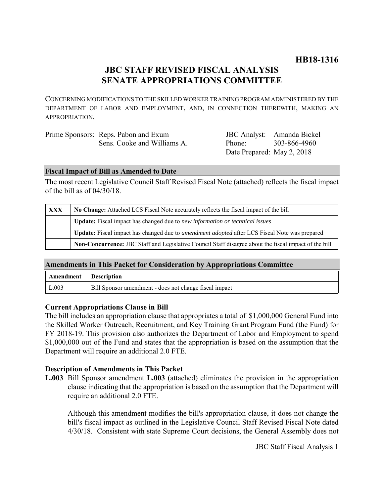# **JBC STAFF REVISED FISCAL ANALYSIS SENATE APPROPRIATIONS COMMITTEE**

CONCERNING MODIFICATIONS TO THE SKILLED WORKER TRAINING PROGRAM ADMINISTERED BY THE DEPARTMENT OF LABOR AND EMPLOYMENT, AND, IN CONNECTION THEREWITH, MAKING AN APPROPRIATION.

| Prime Sponsors: Reps. Pabon and Exum |                            | JBC Analyst: Amanda Bickel |
|--------------------------------------|----------------------------|----------------------------|
| Sens. Cooke and Williams A.          | Phone:                     | 303-866-4960               |
|                                      | Date Prepared: May 2, 2018 |                            |

# **Fiscal Impact of Bill as Amended to Date**

The most recent Legislative Council Staff Revised Fiscal Note (attached) reflects the fiscal impact of the bill as of 04/30/18.

| <b>XXX</b> | No Change: Attached LCS Fiscal Note accurately reflects the fiscal impact of the bill                 |  |
|------------|-------------------------------------------------------------------------------------------------------|--|
|            | <b>Update:</b> Fiscal impact has changed due to new information or technical issues                   |  |
|            | Update: Fiscal impact has changed due to <i>amendment adopted</i> after LCS Fiscal Note was prepared  |  |
|            | Non-Concurrence: JBC Staff and Legislative Council Staff disagree about the fiscal impact of the bill |  |

# **Amendments in This Packet for Consideration by Appropriations Committee**

| Amendment Description |                                                        |
|-----------------------|--------------------------------------------------------|
| L.003                 | Bill Sponsor amendment - does not change fiscal impact |

# **Current Appropriations Clause in Bill**

The bill includes an appropriation clause that appropriates a total of \$1,000,000 General Fund into the Skilled Worker Outreach, Recruitment, and Key Training Grant Program Fund (the Fund) for FY 2018-19. This provision also authorizes the Department of Labor and Employment to spend \$1,000,000 out of the Fund and states that the appropriation is based on the assumption that the Department will require an additional 2.0 FTE.

# **Description of Amendments in This Packet**

**L.003** Bill Sponsor amendment **L.003** (attached) eliminates the provision in the appropriation clause indicating that the appropriation is based on the assumption that the Department will require an additional 2.0 FTE.

Although this amendment modifies the bill's appropriation clause, it does not change the bill's fiscal impact as outlined in the Legislative Council Staff Revised Fiscal Note dated 4/30/18. Consistent with state Supreme Court decisions, the General Assembly does not